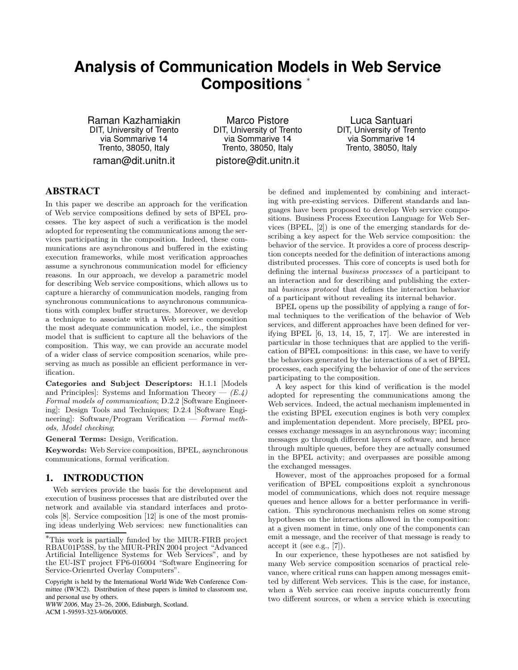# **Analysis of Communication Models in Web Service Compositions** <sup>∗</sup>

Raman Kazhamiakin DIT, University of Trento via Sommarive 14 Trento, 38050, Italy raman@dit.unitn.it

Marco Pistore DIT, University of Trento via Sommarive 14 Trento, 38050, Italy pistore@dit.unitn.it

Luca Santuari DIT, University of Trento via Sommarive 14 Trento, 38050, Italy

# **ABSTRACT**

In this paper we describe an approach for the verification of Web service compositions defined by sets of BPEL processes. The key aspect of such a verification is the model adopted for representing the communications among the services participating in the composition. Indeed, these communications are asynchronous and buffered in the existing execution frameworks, while most verification approaches assume a synchronous communication model for efficiency reasons. In our approach, we develop a parametric model for describing Web service compositions, which allows us to capture a hierarchy of communication models, ranging from synchronous communications to asynchronous communications with complex buffer structures. Moreover, we develop a technique to associate with a Web service composition the most adequate communication model, i.e., the simplest model that is sufficient to capture all the behaviors of the composition. This way, we can provide an accurate model of a wider class of service composition scenarios, while preserving as much as possible an efficient performance in verification.

Categories and Subject Descriptors: H.1.1 [Models and Principles]: Systems and Information Theory —  $(E.\mathcal{L})$ Formal models of communication; D.2.2 [Software Engineering]: Design Tools and Techniques; D.2.4 [Software Engineering]: Software/Program Verification — Formal methods, Model checking;

General Terms: Design, Verification.

Keywords: Web Service composition, BPEL, asynchronous communications, formal verification.

#### **1. INTRODUCTION**

Web services provide the basis for the development and execution of business processes that are distributed over the network and available via standard interfaces and protocols [8]. Service composition [12] is one of the most promising ideas underlying Web services: new functionalities can

*WWW 2006*, May 23–26, 2006, Edinburgh, Scotland. ACM 1-59593-323-9/06/0005.

be defined and implemented by combining and interacting with pre-existing services. Different standards and languages have been proposed to develop Web service compositions. Business Process Execution Language for Web Services (BPEL, [2]) is one of the emerging standards for describing a key aspect for the Web service composition: the behavior of the service. It provides a core of process description concepts needed for the definition of interactions among distributed processes. This core of concepts is used both for defining the internal business processes of a participant to an interaction and for describing and publishing the external business protocol that defines the interaction behavior of a participant without revealing its internal behavior.

BPEL opens up the possibility of applying a range of formal techniques to the verification of the behavior of Web services, and different approaches have been defined for verifying BPEL [6, 13, 14, 15, 7, 17]. We are interested in particular in those techniques that are applied to the verification of BPEL compositions: in this case, we have to verify the behaviors generated by the interactions of a set of BPEL processes, each specifying the behavior of one of the services participating to the composition.

A key aspect for this kind of verification is the model adopted for representing the communications among the Web services. Indeed, the actual mechanism implemented in the existing BPEL execution engines is both very complex and implementation dependent. More precisely, BPEL processes exchange messages in an asynchronous way; incoming messages go through different layers of software, and hence through multiple queues, before they are actually consumed in the BPEL activity; and overpasses are possible among the exchanged messages.

However, most of the approaches proposed for a formal verification of BPEL compositions exploit a synchronous model of communications, which does not require message queues and hence allows for a better performance in verification. This synchronous mechanism relies on some strong hypotheses on the interactions allowed in the composition: at a given moment in time, only one of the components can emit a message, and the receiver of that message is ready to accept it (see e.g., [7]).

In our experience, these hypotheses are not satisfied by many Web service composition scenarios of practical relevance, where critical runs can happen among messages emitted by different Web services. This is the case, for instance, when a Web service can receive inputs concurrently from two different sources, or when a service which is executing

<sup>∗</sup>This work is partially funded by the MIUR-FIRB project RBAU01P5SS, by the MIUR-PRIN 2004 project "Advanced Artificial Intelligence Systems for Web Services", and by the EU-IST project FP6-016004 "Software Engineering for Service-Orienrted Overlay Computers".

Copyright is held by the International World Wide Web Conference Committee (IW3C2). Distribution of these papers is limited to classroom use, and personal use by others.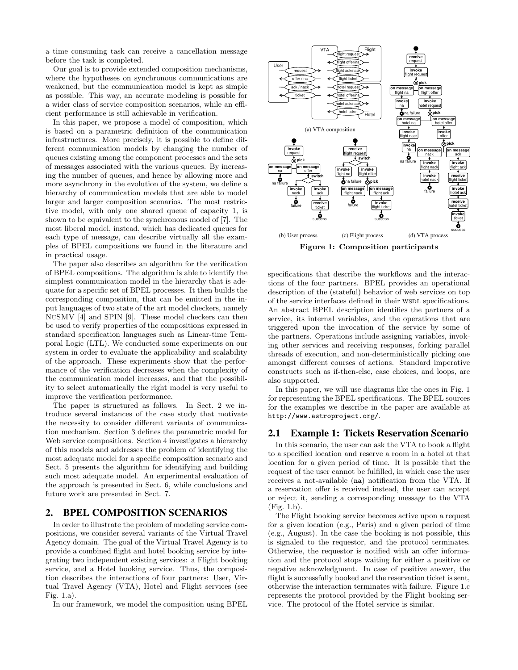a time consuming task can receive a cancellation message before the task is completed.

Our goal is to provide extended composition mechanisms, where the hypotheses on synchronous communications are weakened, but the communication model is kept as simple as possible. This way, an accurate modeling is possible for a wider class of service composition scenarios, while an efficient performance is still achievable in verification.

In this paper, we propose a model of composition, which is based on a parametric definition of the communication infrastructures. More precisely, it is possible to define different communication models by changing the number of queues existing among the component processes and the sets of messages associated with the various queues. By increasing the number of queues, and hence by allowing more and more asynchrony in the evolution of the system, we define a hierarchy of communication models that are able to model larger and larger composition scenarios. The most restrictive model, with only one shared queue of capacity 1, is shown to be equivalent to the synchronous model of [7]. The most liberal model, instead, which has dedicated queues for each type of message, can describe virtually all the examples of BPEL compositions we found in the literature and in practical usage.

The paper also describes an algorithm for the verification of BPEL compositions. The algorithm is able to identify the simplest communication model in the hierarchy that is adequate for a specific set of BPEL processes. It then builds the corresponding composition, that can be emitted in the input languages of two state of the art model checkers, namely NuSMV [4] and SPIN [9]. These model checkers can then be used to verify properties of the compositions expressed in standard specification languages such as Linear-time Temporal Logic (LTL). We conducted some experiments on our system in order to evaluate the applicability and scalability of the approach. These experiments show that the performance of the verification decreases when the complexity of the communication model increases, and that the possibility to select automatically the right model is very useful to improve the verification performance.

The paper is structured as follows. In Sect. 2 we introduce several instances of the case study that motivate the necessity to consider different variants of communication mechanism. Section 3 defines the parametric model for Web service compositions. Section 4 investigates a hierarchy of this models and addresses the problem of identifying the most adequate model for a specific composition scenario and Sect. 5 presents the algorithm for identifying and building such most adequate model. An experimental evaluation of the approach is presented in Sect. 6, while conclusions and future work are presented in Sect. 7.

# **2. BPEL COMPOSITION SCENARIOS**

In order to illustrate the problem of modeling service compositions, we consider several variants of the Virtual Travel Agency domain. The goal of the Virtual Travel Agency is to provide a combined flight and hotel booking service by integrating two independent existing services: a Flight booking service, and a Hotel booking service. Thus, the composition describes the interactions of four partners: User, Virtual Travel Agency (VTA), Hotel and Flight services (see Fig. 1.a).

In our framework, we model the composition using BPEL



specifications that describe the workflows and the interactions of the four partners. BPEL provides an operational description of the (stateful) behavior of web services on top of the service interfaces defined in their WSDL specifications. An abstract BPEL description identifies the partners of a service, its internal variables, and the operations that are triggered upon the invocation of the service by some of the partners. Operations include assigning variables, invoking other services and receiving responses, forking parallel threads of execution, and non-deterministically picking one amongst different courses of actions. Standard imperative constructs such as if-then-else, case choices, and loops, are also supported.

In this paper, we will use diagrams like the ones in Fig. 1 for representing the BPEL specifications. The BPEL sources for the examples we describe in the paper are available at http://www.astroproject.org/.

## **2.1 Example 1: Tickets Reservation Scenario**

In this scenario, the user can ask the VTA to book a flight to a specified location and reserve a room in a hotel at that location for a given period of time. It is possible that the request of the user cannot be fulfilled, in which case the user receives a not-available (na) notification from the VTA. If a reservation offer is received instead, the user can accept or reject it, sending a corresponding message to the VTA (Fig. 1.b).

The Flight booking service becomes active upon a request for a given location (e.g., Paris) and a given period of time (e.g., August). In the case the booking is not possible, this is signaled to the requestor, and the protocol terminates. Otherwise, the requestor is notified with an offer information and the protocol stops waiting for either a positive or negative acknowledgment. In case of positive answer, the flight is successfully booked and the reservation ticket is sent, otherwise the interaction terminates with failure. Figure 1.c represents the protocol provided by the Flight booking service. The protocol of the Hotel service is similar.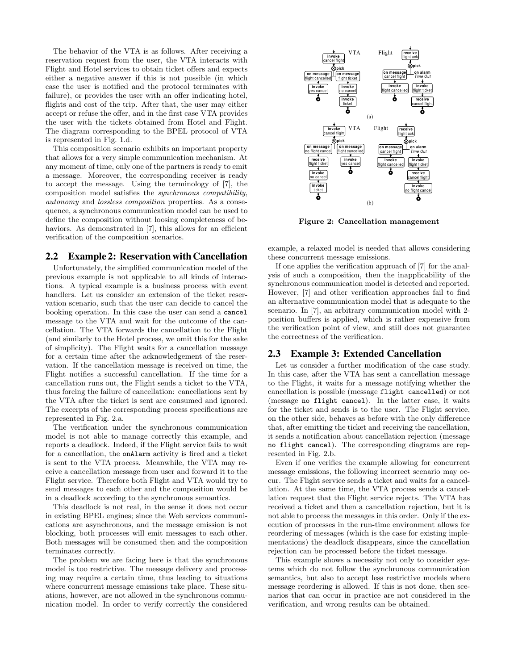The behavior of the VTA is as follows. After receiving a reservation request from the user, the VTA interacts with Flight and Hotel services to obtain ticket offers and expects either a negative answer if this is not possible (in which case the user is notified and the protocol terminates with failure), or provides the user with an offer indicating hotel, flights and cost of the trip. After that, the user may either accept or refuse the offer, and in the first case VTA provides the user with the tickets obtained from Hotel and Flight. The diagram corresponding to the BPEL protocol of VTA is represented in Fig. 1.d.

This composition scenario exhibits an important property that allows for a very simple communication mechanism. At any moment of time, only one of the partners is ready to emit a message. Moreover, the corresponding receiver is ready to accept the message. Using the terminology of [7], the composition model satisfies the synchronous compatibility, autonomy and lossless composition properties. As a consequence, a synchronous communication model can be used to define the composition without loosing completeness of behaviors. As demonstrated in [7], this allows for an efficient verification of the composition scenarios.

# **2.2 Example 2: Reservation with Cancellation**

Unfortunately, the simplified communication model of the previous example is not applicable to all kinds of interactions. A typical example is a business process with event handlers. Let us consider an extension of the ticket reservation scenario, such that the user can decide to cancel the booking operation. In this case the user can send a cancel message to the VTA and wait for the outcome of the cancellation. The VTA forwards the cancellation to the Flight (and similarly to the Hotel process, we omit this for the sake of simplicity). The Flight waits for a cancellation message for a certain time after the acknowledgement of the reservation. If the cancellation message is received on time, the Flight notifies a successful cancellation. If the time for a cancellation runs out, the Flight sends a ticket to the VTA, thus forcing the failure of cancellation: cancellations sent by the VTA after the ticket is sent are consumed and ignored. The excerpts of the corresponding process specifications are represented in Fig. 2.a.

The verification under the synchronous communication model is not able to manage correctly this example, and reports a deadlock. Indeed, if the Flight service fails to wait for a cancellation, the onAlarm activity is fired and a ticket is sent to the VTA process. Meanwhile, the VTA may receive a cancellation message from user and forward it to the Flight service. Therefore both Flight and VTA would try to send messages to each other and the composition would be in a deadlock according to the synchronous semantics.

This deadlock is not real, in the sense it does not occur in existing BPEL engines; since the Web services communications are asynchronous, and the message emission is not blocking, both processes will emit messages to each other. Both messages will be consumed then and the composition terminates correctly.

The problem we are facing here is that the synchronous model is too restrictive. The message delivery and processing may require a certain time, thus leading to situations where concurrent message emissions take place. These situations, however, are not allowed in the synchronous communication model. In order to verify correctly the considered



Figure 2: Cancellation management

example, a relaxed model is needed that allows considering these concurrent message emissions.

If one applies the verification approach of [7] for the analysis of such a composition, then the inapplicability of the synchronous communication model is detected and reported. However, [7] and other verification approaches fail to find an alternative communication model that is adequate to the scenario. In [7], an arbitrary communication model with 2 position buffers is applied, which is rather expensive from the verification point of view, and still does not guarantee the correctness of the verification.

## **2.3 Example 3: Extended Cancellation**

Let us consider a further modification of the case study. In this case, after the VTA has sent a cancellation message to the Flight, it waits for a message notifying whether the cancellation is possible (message flight cancelled) or not (message no flight cancel). In the latter case, it waits for the ticket and sends is to the user. The Flight service, on the other side, behaves as before with the only difference that, after emitting the ticket and receiving the cancellation, it sends a notification about cancellation rejection (message no flight cancel). The corresponding diagrams are represented in Fig. 2.b.

Even if one verifies the example allowing for concurrent message emissions, the following incorrect scenario may occur. The Flight service sends a ticket and waits for a cancellation. At the same time, the VTA process sends a cancellation request that the Flight service rejects. The VTA has received a ticket and then a cancellation rejection, but it is not able to process the messages in this order. Only if the execution of processes in the run-time environment allows for reordering of messages (which is the case for existing implementations) the deadlock disappears, since the cancellation rejection can be processed before the ticket message.

This example shows a necessity not only to consider systems which do not follow the synchronous communication semantics, but also to accept less restrictive models where message reordering is allowed. If this is not done, then scenarios that can occur in practice are not considered in the verification, and wrong results can be obtained.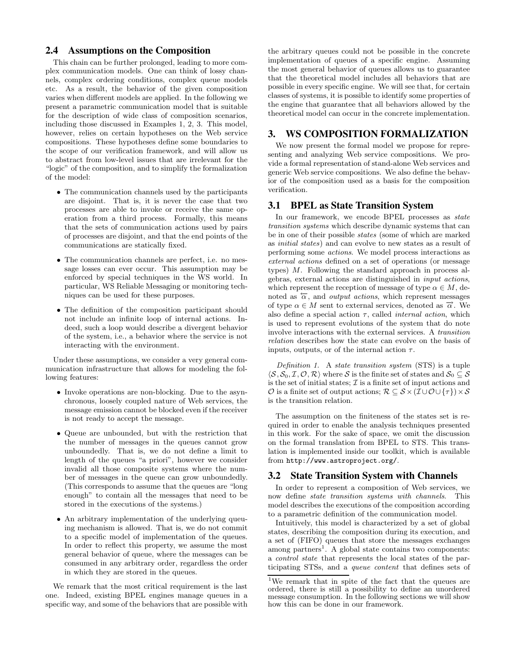# **2.4 Assumptions on the Composition**

This chain can be further prolonged, leading to more complex communication models. One can think of lossy channels, complex ordering conditions, complex queue models etc. As a result, the behavior of the given composition varies when different models are applied. In the following we present a parametric communication model that is suitable for the description of wide class of composition scenarios, including those discussed in Examples 1, 2, 3. This model, however, relies on certain hypotheses on the Web service compositions. These hypotheses define some boundaries to the scope of our verification framework, and will allow us to abstract from low-level issues that are irrelevant for the "logic" of the composition, and to simplify the formalization of the model:

- The communication channels used by the participants are disjoint. That is, it is never the case that two processes are able to invoke or receive the same operation from a third process. Formally, this means that the sets of communication actions used by pairs of processes are disjoint, and that the end points of the communications are statically fixed.
- The communication channels are perfect, i.e. no message losses can ever occur. This assumption may be enforced by special techniques in the WS world. In particular, WS Reliable Messaging or monitoring techniques can be used for these purposes.
- The definition of the composition participant should not include an infinite loop of internal actions. Indeed, such a loop would describe a divergent behavior of the system, i.e., a behavior where the service is not interacting with the environment.

Under these assumptions, we consider a very general communication infrastructure that allows for modeling the following features:

- Invoke operations are non-blocking. Due to the asynchronous, loosely coupled nature of Web services, the message emission cannot be blocked even if the receiver is not ready to accept the message.
- Queue are unbounded, but with the restriction that the number of messages in the queues cannot grow unboundedly. That is, we do not define a limit to length of the queues "a priori", however we consider invalid all those composite systems where the number of messages in the queue can grow unboundedly. (This corresponds to assume that the queues are "long enough" to contain all the messages that need to be stored in the executions of the systems.)
- An arbitrary implementation of the underlying queuing mechanism is allowed. That is, we do not commit to a specific model of implementation of the queues. In order to reflect this property, we assume the most general behavior of queue, where the messages can be consumed in any arbitrary order, regardless the order in which they are stored in the queues.

We remark that the most critical requirement is the last one. Indeed, existing BPEL engines manage queues in a specific way, and some of the behaviors that are possible with the arbitrary queues could not be possible in the concrete implementation of queues of a specific engine. Assuming the most general behavior of queues allows us to guarantee that the theoretical model includes all behaviors that are possible in every specific engine. We will see that, for certain classes of systems, it is possible to identify some properties of the engine that guarantee that all behaviors allowed by the theoretical model can occur in the concrete implementation.

## **3. WS COMPOSITION FORMALIZATION**

We now present the formal model we propose for representing and analyzing Web service compositions. We provide a formal representation of stand-alone Web services and generic Web service compositions. We also define the behavior of the composition used as a basis for the composition verification.

## **3.1 BPEL as State Transition System**

In our framework, we encode BPEL processes as *state* transition systems which describe dynamic systems that can be in one of their possible states (some of which are marked as initial states) and can evolve to new states as a result of performing some actions. We model process interactions as external actions defined on a set of operations (or message types) M. Following the standard approach in process algebras, external actions are distinguished in input actions, which represent the reception of message of type  $\alpha \in M$ , denoted as  $\overleftarrow{\alpha}$ , and *output actions*, which represent messages of type  $\alpha \in M$  sent to external services, denoted as  $\overrightarrow{\alpha}$ . We also define a special action  $\tau$ , called *internal action*, which is used to represent evolutions of the system that do note involve interactions with the external services. A transition relation describes how the state can evolve on the basis of inputs, outputs, or of the internal action  $\tau$ .

Definition 1. A state transition system (STS) is a tuple  $\langle S, S_0, \mathcal{I}, \mathcal{O}, \mathcal{R} \rangle$  where S is the finite set of states and  $S_0 \subseteq S$ is the set of initial states;  $\mathcal I$  is a finite set of input actions and  $\mathcal O$  is a finite set of output actions;  $\mathcal R \subseteq \mathcal S \times (\mathcal I \cup \mathcal O \cup \{\tau\}) \times \mathcal S$ is the transition relation.

The assumption on the finiteness of the states set is required in order to enable the analysis techniques presented in this work. For the sake of space, we omit the discussion on the formal translation from BPEL to STS. This translation is implemented inside our toolkit, which is available from http://www.astroproject.org/.

#### **3.2 State Transition System with Channels**

In order to represent a composition of Web services, we now define state transition systems with channels. This model describes the executions of the composition according to a parametric definition of the communication model.

Intuitively, this model is characterized by a set of global states, describing the composition during its execution, and a set of (FIFO) queues that store the messages exchanges among partners<sup>1</sup>. A global state contains two components: a control state that represents the local states of the participating STSs, and a queue content that defines sets of

<sup>&</sup>lt;sup>1</sup>We remark that in spite of the fact that the queues are ordered, there is still a possibility to define an unordered message consumption. In the following sections we will show how this can be done in our framework.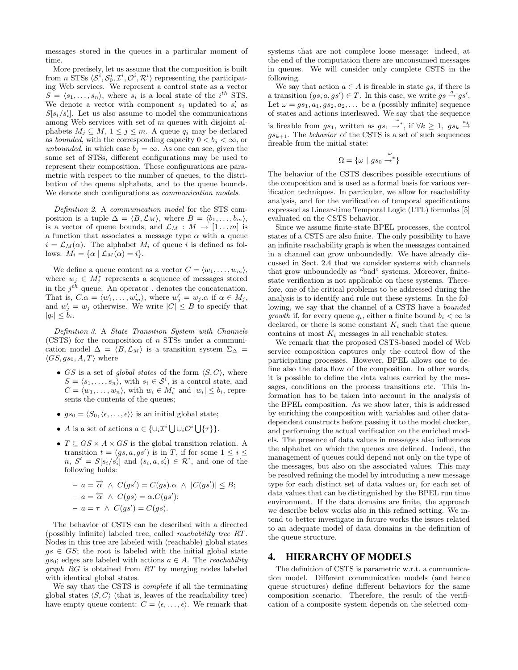messages stored in the queues in a particular moment of time.

More precisely, let us assume that the composition is built from n STSs  $\langle S^i, S_0^i, \mathcal{I}^i, \mathcal{O}^i, \mathcal{R}^i \rangle$  representing the participating Web services. We represent a control state as a vector  $S = \langle s_1, \ldots, s_n \rangle$ , where  $s_i$  is a local state of the i<sup>th</sup> STS. We denote a vector with component  $s_i$  updated to  $s'_i$  as  $S[s_i/s'_i]$ . Let us also assume to model the communications among Web services with set of m queues with disjoint alphabets  $M_i \subseteq M$ ,  $1 \leq j \leq m$ . A queue  $q_i$  may be declared as *bounded*, with the corresponding capacity  $0 < b_j < \infty$ , or unbounded, in which case  $b_j = \infty$ . As one can see, given the same set of STSs, different configurations may be used to represent their composition. These configurations are parametric with respect to the number of queues, to the distribution of the queue alphabets, and to the queue bounds. We denote such configurations as *communication models*.

Definition 2. A communication model for the STS composition is a tuple  $\Delta = \langle B, \mathcal{L}_M \rangle$ , where  $B = \langle b_1, \ldots, b_m \rangle$ , is a vector of queue bounds, and  $\mathcal{L}_M$  :  $M \to [1 \dots m]$  is a function that associates a message type  $\alpha$  with a queue  $i = \mathcal{L}_M(\alpha)$ . The alphabet  $M_i$  of queue i is defined as follows:  $M_i = {\alpha | \mathcal{L}_M(\alpha) = i}.$ 

We define a queue content as a vector  $C = \langle w_1, \ldots, w_m \rangle$ , where  $w_j \in M_j^*$  represents a sequence of messages stored in the  $j<sup>th</sup>$  queue. An operator . denotes the concatenation. That is,  $C.\alpha = \langle w_1', \ldots, w_m' \rangle$ , where  $w_j' = w_j \ldots$  if  $\alpha \in M_j$ , and  $w_j' = w_j$  otherwise. We write  $|C| \leq B$  to specify that  $|q_i| \leq b_i$ .

Definition 3. A State Transition System with Channels (CSTS) for the composition of n STSs under a communication model  $\Delta = \langle B, \mathcal{L}_M \rangle$  is a transition system  $\Sigma_\Delta =$  $\langle GS, gs_0, A, T \rangle$  where

- GS is a set of global states of the form  $\langle S, C \rangle$ , where  $S = \langle s_1, \ldots, s_n \rangle$ , with  $s_i \in S^i$ , is a control state, and  $C = \langle w_1, \ldots, w_n \rangle$ , with  $w_i \in M_i^*$  and  $|w_i| \leq b_i$ , represents the contents of the queues;
- $gs_0 = \langle S_0, \langle \epsilon, \ldots, \epsilon \rangle \rangle$  is an initial global state;
- A is a set of actions  $a \in \{\cup_i \mathcal{I}^i \cup \cup_i \mathcal{O}^i \cup \{\tau\}\}.$
- $T \subseteq GS \times A \times GS$  is the global transition relation. A transition  $t = (gs, a, gs')$  is in T, if for some  $1 \leq i \leq$  $n, S' = S[s_i/s_i']$  and  $(s_i, a, s_i') \in \mathcal{R}^i$ , and one of the following holds:

$$
- a = \overrightarrow{\alpha} \wedge C(gs') = C(gs).\alpha \wedge |C(gs')| \leq B;
$$
  
\n
$$
- a = \overleftarrow{\alpha} \wedge C(gs) = \alpha.C(gs');
$$
  
\n
$$
- a = \tau \wedge C(gs') = C(gs).
$$

The behavior of CSTS can be described with a directed (possibly infinite) labeled tree, called reachability tree RT. Nodes in this tree are labeled with (reachable) global states  $qs \in GS$ ; the root is labeled with the initial global state  $qs_0$ ; edges are labeled with actions  $a \in A$ . The *reachability* graph RG is obtained from RT by merging nodes labeled with identical global states.

We say that the CSTS is complete if all the terminating global states  $\langle S, C \rangle$  (that is, leaves of the reachability tree) have empty queue content:  $C = \langle \epsilon, \ldots, \epsilon \rangle$ . We remark that

systems that are not complete loose message: indeed, at the end of the computation there are unconsumed messages in queues. We will consider only complete CSTS in the following.

We say that action  $a \in A$  is fireable in state qs, if there is a transition  $(gs, a, gs' \in T$ . In this case, we write  $gs \stackrel{a}{\rightarrow} gs'$ . Let  $\omega = gs_1, a_1, gs_2, a_2, \ldots$  be a (possibly infinite) sequence of states and actions interleaved. We say that the sequence is fireable from  $gs_1$ , written as  $gs_1 \stackrel{\omega}{\rightarrow}^*$ , if  $\forall k \geq 1$ ,  $gs_k \stackrel{a_k}{\rightarrow}^*$  $gs_{k+1}$ . The *behavior* of the CSTS is a set of such sequences fireable from the initial state:

$$
\Omega = \{ \omega \mid gs_0 \stackrel{\omega}{\rightarrow}^* \}
$$

The behavior of the CSTS describes possible executions of the composition and is used as a formal basis for various verification techniques. In particular, we allow for reachability analysis, and for the verification of temporal specifications expressed as Linear-time Temporal Logic (LTL) formulas [5] evaluated on the CSTS behavior.

Since we assume finite-state BPEL processes, the control states of a CSTS are also finite. The only possibility to have an infinite reachability graph is when the messages contained in a channel can grow unboundedly. We have already discussed in Sect. 2.4 that we consider systems with channels that grow unboundedly as "bad" systems. Moreover, finitestate verification is not applicable on these systems. Therefore, one of the critical problems to be addressed during the analysis is to identify and rule out these systems. In the following, we say that the channel of a CSTS have a bounded growth if, for every queue  $q_i$ , either a finite bound  $b_i < \infty$  is declared, or there is some constant  $K_i$  such that the queue contains at most  $K_i$  messages in all reachable states.

We remark that the proposed CSTS-based model of Web service composition captures only the control flow of the participating processes. However, BPEL allows one to define also the data flow of the composition. In other words, it is possible to define the data values carried by the messages, conditions on the process transitions etc. This information has to be taken into account in the analysis of the BPEL composition. As we show later, this is addressed by enriching the composition with variables and other datadependent constructs before passing it to the model checker, and performing the actual verification on the enriched models. The presence of data values in messages also influences the alphabet on which the queues are defined. Indeed, the management of queues could depend not only on the type of the messages, but also on the associated values. This may be resolved refining the model by introducing a new message type for each distinct set of data values or, for each set of data values that can be distinguished by the BPEL run time environment. If the data domains are finite, the approach we describe below works also in this refined setting. We intend to better investigate in future works the issues related to an adequate model of data domains in the definition of the queue structure.

## **4. HIERARCHY OF MODELS**

The definition of CSTS is parametric w.r.t. a communication model. Different communication models (and hence queue structures) define different behaviors for the same composition scenario. Therefore, the result of the verification of a composite system depends on the selected com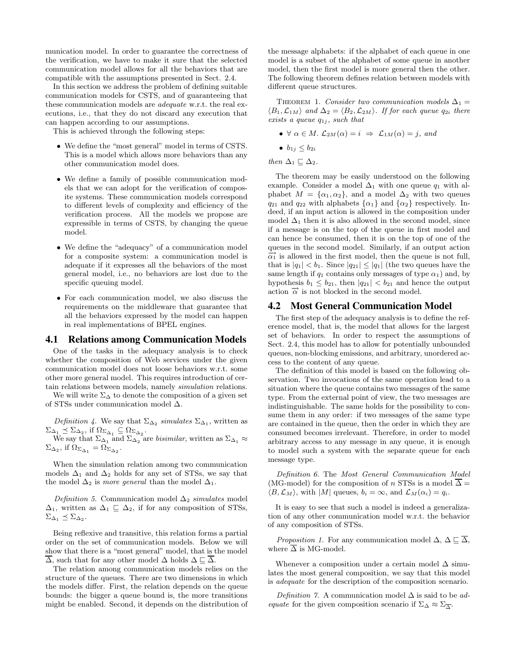munication model. In order to guarantee the correctness of the verification, we have to make it sure that the selected communication model allows for all the behaviors that are compatible with the assumptions presented in Sect. 2.4.

In this section we address the problem of defining suitable communication models for CSTS, and of guaranteeing that these communication models are adequate w.r.t. the real executions, i.e., that they do not discard any execution that can happen according to our assumptions.

This is achieved through the following steps:

- We define the "most general" model in terms of CSTS. This is a model which allows more behaviors than any other communication model does.
- We define a family of possible communication models that we can adopt for the verification of composite systems. These communication models correspond to different levels of complexity and efficiency of the verification process. All the models we propose are expressible in terms of CSTS, by changing the queue model.
- We define the "adequacy" of a communication model for a composite system: a communication model is adequate if it expresses all the behaviors of the most general model, i.e., no behaviors are lost due to the specific queuing model.
- For each communication model, we also discuss the requirements on the middleware that guarantee that all the behaviors expressed by the model can happen in real implementations of BPEL engines.

## **4.1 Relations among Communication Models**

One of the tasks in the adequacy analysis is to check whether the composition of Web services under the given communication model does not loose behaviors w.r.t. some other more general model. This requires introduction of certain relations between models, namely simulation relations.

We will write  $\Sigma_{\Delta}$  to denote the composition of a given set of STSs under communication model ∆.

Definition 4. We say that  $\Sigma_{\Delta_2}$  simulates  $\Sigma_{\Delta_1}$ , written as  $\Sigma_{\Delta_1} \preceq \Sigma_{\Delta_2}$ , if  $\Omega_{\Sigma_{\Delta_1}} \subseteq \Omega_{\Sigma_{\Delta_2}}$ .

We say that  $\Sigma_{\Delta_1}$  and  $\Sigma_{\Delta_2}$  are *bisimilar*, written as  $\Sigma_{\Delta_1} \approx$  $\Sigma_{\Delta_2}$ , if  $\Omega_{\Sigma_{\Delta_1}} = \Omega_{\Sigma_{\Delta_2}}$ .

When the simulation relation among two communication models  $\Delta_1$  and  $\Delta_2$  holds for any set of STSs, we say that the model  $\Delta_2$  is *more general* than the model  $\Delta_1$ .

Definition 5. Communication model  $\Delta_2$  simulates model  $\Delta_1$ , written as  $\Delta_1 \subseteq \Delta_2$ , if for any composition of STSs,  $\Sigma_{\Delta_1} \preceq \Sigma_{\Delta_2}$ .

Being reflexive and transitive, this relation forms a partial order on the set of communication models. Below we will show that there is a "most general" model, that is the model  $\Delta$ , such that for any other model  $\Delta$  holds  $\Delta \sqsubseteq \Delta$ .

The relation among communication models relies on the structure of the queues. There are two dimensions in which the models differ. First, the relation depends on the queue bounds: the bigger a queue bound is, the more transitions might be enabled. Second, it depends on the distribution of the message alphabets: if the alphabet of each queue in one model is a subset of the alphabet of some queue in another model, then the first model is more general then the other. The following theorem defines relation between models with different queue structures.

THEOREM 1. Consider two communication models  $\Delta_1 =$  $\langle B_1, \mathcal{L}_{1M} \rangle$  and  $\Delta_2 = \langle B_2, \mathcal{L}_{2M} \rangle$ . If for each queue  $q_{2i}$  there exists a queue  $q_{1j}$ , such that

• 
$$
\forall \alpha \in M
$$
.  $\mathcal{L}_{2M}(\alpha) = i \Rightarrow \mathcal{L}_{1M}(\alpha) = j$ , and

 $\bullet$   $b_{1j} \leq b_{2i}$ 

then  $\Delta_1 \sqsubseteq \Delta_2$ .

The theorem may be easily understood on the following example. Consider a model  $\Delta_1$  with one queue  $q_1$  with alphabet  $M = {\alpha_1, \alpha_2}$ , and a model  $\Delta_2$  with two queues  $q_{21}$  and  $q_{22}$  with alphabets  $\{\alpha_1\}$  and  $\{\alpha_2\}$  respectively. Indeed, if an input action is allowed in the composition under model  $\Delta_1$  then it is also allowed in the second model, since if a message is on the top of the queue in first model and can hence be consumed, then it is on the top of one of the queues in the second model. Similarly, if an output action  $\overrightarrow{\alpha_1}$  is allowed in the first model, then the queue is not full, that is  $|q_1| < b_1$ . Since  $|q_{21}| \leq |q_1|$  (the two queues have the same length if  $q_1$  contains only messages of type  $\alpha_1$ ) and, by hypothesis  $b_1 \leq b_{21}$ , then  $|q_{21}| < b_{21}$  and hence the output action  $\vec{\alpha}$  is not blocked in the second model.

## **4.2 Most General Communication Model**

The first step of the adequacy analysis is to define the reference model, that is, the model that allows for the largest set of behaviors. In order to respect the assumptions of Sect. 2.4, this model has to allow for potentially unbounded queues, non-blocking emissions, and arbitrary, unordered access to the content of any queue.

The definition of this model is based on the following observation. Two invocations of the same operation lead to a situation where the queue contains two messages of the same type. From the external point of view, the two messages are indistinguishable. The same holds for the possibility to consume them in any order: if two messages of the same type are contained in the queue, then the order in which they are consumed becomes irrelevant. Therefore, in order to model arbitrary access to any message in any queue, it is enough to model such a system with the separate queue for each message type.

Definition 6. The Most General Communication Model (MG-model) for the composition of n STSs is a model  $\overline{\Delta}$  =  $\langle B, \mathcal{L}_M \rangle$ , with  $|M|$  queues,  $b_i = \infty$ , and  $\mathcal{L}_M(\alpha_i) = q_i$ .

It is easy to see that such a model is indeed a generalization of any other communication model w.r.t. the behavior of any composition of STSs.

*Proposition 1.* For any communication model  $\Delta$ ,  $\Delta \sqsubseteq \overline{\Delta}$ , where  $\overline{\Delta}$  is MG-model.

Whenever a composition under a certain model  $\Delta$  simulates the most general composition, we say that this model is adequate for the description of the composition scenario.

Definition 7. A communication model  $\Delta$  is said to be adequate for the given composition scenario if  $\Sigma_{\Delta} \approx \Sigma_{\overline{\Delta}}$ .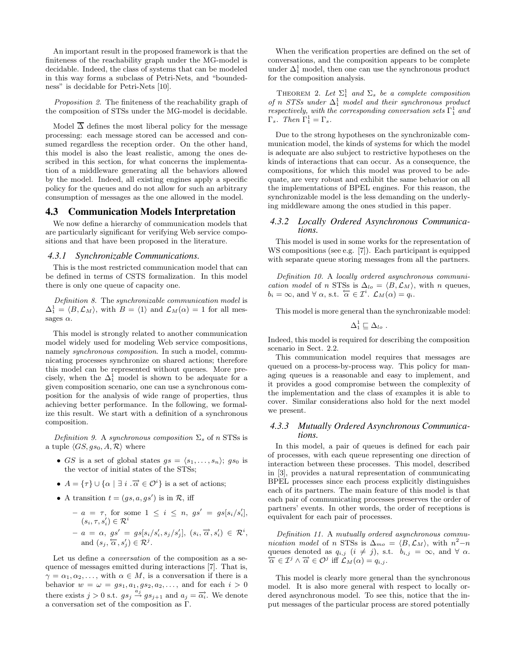An important result in the proposed framework is that the finiteness of the reachability graph under the MG-model is decidable. Indeed, the class of systems that can be modeled in this way forms a subclass of Petri-Nets, and "boundedness" is decidable for Petri-Nets [10].

Proposition 2. The finiteness of the reachability graph of the composition of STSs under the MG-model is decidable.

Model  $\overline{\Delta}$  defines the most liberal policy for the message processing: each message stored can be accessed and consumed regardless the reception order. On the other hand, this model is also the least realistic, among the ones described in this section, for what concerns the implementation of a middleware generating all the behaviors allowed by the model. Indeed, all existing engines apply a specific policy for the queues and do not allow for such an arbitrary consumption of messages as the one allowed in the model.

#### **4.3 Communication Models Interpretation**

We now define a hierarchy of communication models that are particularly significant for verifying Web service compositions and that have been proposed in the literature.

#### *4.3.1 Synchronizable Communications.*

This is the most restricted communication model that can be defined in terms of CSTS formalization. In this model there is only one queue of capacity one.

Definition 8. The synchronizable communication model is  $\Delta_1^1 = \langle B, \mathcal{L}_M \rangle$ , with  $B = \langle 1 \rangle$  and  $\mathcal{L}_M(\alpha) = 1$  for all messages  $\alpha$ .

This model is strongly related to another communication model widely used for modeling Web service compositions, namely synchronous composition. In such a model, communicating processes synchronize on shared actions; therefore this model can be represented without queues. More precisely, when the  $\Delta_1^1$  model is shown to be adequate for a given composition scenario, one can use a synchronous composition for the analysis of wide range of properties, thus achieving better performance. In the following, we formalize this result. We start with a definition of a synchronous composition.

Definition 9. A synchronous composition  $\Sigma_s$  of n STSs is a tuple  $\langle GS, gs_0, A, R \rangle$  where

- GS is a set of global states  $gs = \langle s_1, \ldots, s_n \rangle; gs_0$  is the vector of initial states of the STSs;
- $A = \{\tau\} \cup \{\alpha \mid \exists i \; .\overrightarrow{\alpha} \in \mathcal{O}^i\}$  is a set of actions;
- A transition  $t = (gs, a, gs')$  is in  $\mathcal{R}$ , iff

$$
- a = \tau, \text{ for some } 1 \leq i \leq n, \text{ } gs' = gs[s_i/s_i'],
$$
  
\n
$$
(s_i, \tau, s_i') \in \mathcal{R}^i
$$
  
\n
$$
- a = \alpha, \text{ } gs' = gs[s_i/s_i', s_j/s_j'], \text{ } (s_i, \overrightarrow{\alpha}, s_i') \in \mathcal{R}^i,
$$
  
\n
$$
\text{and } (s_j, \overleftarrow{\alpha}, s_j') \in \mathcal{R}^j.
$$

Let us define a conversation of the composition as a sequence of messages emitted during interactions [7]. That is,  $\gamma = \alpha_1, \alpha_2, \ldots$ , with  $\alpha \in M$ , is a conversation if there is a behavior  $w = \omega = gs_1, a_1, gs_2, a_2, \ldots$ , and for each  $i > 0$ there exists  $j > 0$  s.t.  $gs_j \stackrel{a_j}{\rightarrow} gs_{j+1}$  and  $a_j = \overrightarrow{\alpha_i}$ . We denote a conversation set of the composition as Γ.

When the verification properties are defined on the set of conversations, and the composition appears to be complete under  $\Delta_1^1$  model, then one can use the synchronous product for the composition analysis.

THEOREM 2. Let  $\Sigma_1^1$  and  $\Sigma_s$  be a complete composition of n STSs under  $\Delta_1^1$  model and their synchronous product respectively, with the corresponding conversation sets  $\Gamma_1^1$  and  $\Gamma_s$ . Then  $\Gamma_1^1 = \Gamma_s$ .

Due to the strong hypotheses on the synchronizable communication model, the kinds of systems for which the model is adequate are also subject to restrictive hypotheses on the kinds of interactions that can occur. As a consequence, the compositions, for which this model was proved to be adequate, are very robust and exhibit the same behavior on all the implementations of BPEL engines. For this reason, the synchronizable model is the less demanding on the underlying middleware among the ones studied in this paper.

#### *4.3.2 Locally Ordered Asynchronous Communications.*

This model is used in some works for the representation of WS compositions (see e.g. [7]). Each participant is equipped with separate queue storing messages from all the partners.

Definition 10. A locally ordered asynchronous communication model of n STSs is  $\Delta_{lo} = \langle B, \mathcal{L}_M \rangle$ , with n queues,  $b_i = \infty$ , and  $\forall \alpha$ , s.t.  $\alpha \in \mathcal{I}^i$ .  $\mathcal{L}_M(\alpha) = q_i$ .

This model is more general than the synchronizable model:

$$
\Delta_1^1 \sqsubseteq \Delta_{lo} .
$$

Indeed, this model is required for describing the composition scenario in Sect. 2.2.

This communication model requires that messages are queued on a process-by-process way. This policy for managing queues is a reasonable and easy to implement, and it provides a good compromise between the complexity of the implementation and the class of examples it is able to cover. Similar considerations also hold for the next model we present.

#### *4.3.3 Mutually Ordered Asynchronous Communications.*

In this model, a pair of queues is defined for each pair of processes, with each queue representing one direction of interaction between these processes. This model, described in [3], provides a natural representation of communicating BPEL processes since each process explicitly distinguishes each of its partners. The main feature of this model is that each pair of communicating processes preserves the order of partners' events. In other words, the order of receptions is equivalent for each pair of processes.

Definition 11. A mutually ordered asynchronous communication model of n STSs is  $\Delta_{mo} = \langle B, \mathcal{L}_M \rangle$ , with  $n^2 - n$ queues denoted as  $q_{i,j}$   $(i \neq j)$ , s.t.  $b_{i,j} = \infty$ , and  $\forall \alpha$ .  $\vec{y} \wedge \vec{\alpha} \in \mathcal{O}^j$  iff  $\mathcal{L}_M(\alpha) = q_{i,j}$ .

This model is clearly more general than the synchronous model. It is also more general with respect to locally ordered asynchronous model. To see this, notice that the input messages of the particular process are stored potentially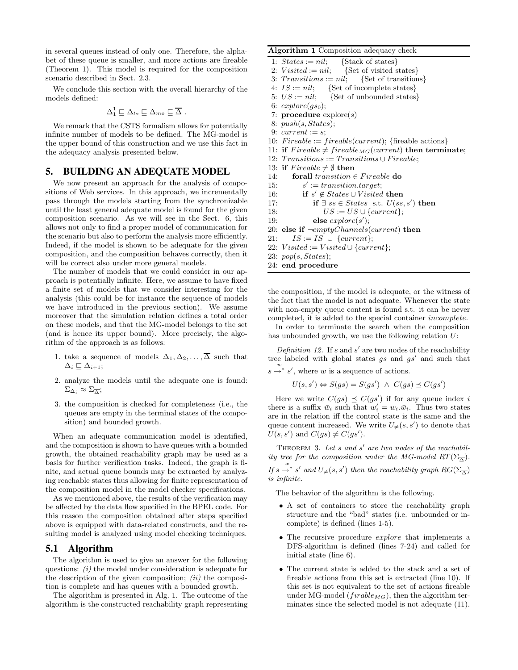in several queues instead of only one. Therefore, the alphabet of these queue is smaller, and more actions are fireable (Theorem 1). This model is required for the composition scenario described in Sect. 2.3.

We conclude this section with the overall hierarchy of the models defined:

$$
\Delta_1^1 \sqsubseteq \Delta_{lo} \sqsubseteq \Delta_{mo} \sqsubseteq \overline{\Delta} .
$$

We remark that the CSTS formalism allows for potentially infinite number of models to be defined. The MG-model is the upper bound of this construction and we use this fact in the adequacy analysis presented below.

## **5. BUILDING AN ADEQUATE MODEL**

We now present an approach for the analysis of compositions of Web services. In this approach, we incrementally pass through the models starting from the synchronizable until the least general adequate model is found for the given composition scenario. As we will see in the Sect. 6, this allows not only to find a proper model of communication for the scenario but also to perform the analysis more efficiently. Indeed, if the model is shown to be adequate for the given composition, and the composition behaves correctly, then it will be correct also under more general models.

The number of models that we could consider in our approach is potentially infinite. Here, we assume to have fixed a finite set of models that we consider interesting for the analysis (this could be for instance the sequence of models we have introduced in the previous section). We assume moreover that the simulation relation defines a total order on these models, and that the MG-model belongs to the set (and is hence its upper bound). More precisely, the algorithm of the approach is as follows:

- 1. take a sequence of models  $\Delta_1, \Delta_2, \ldots, \overline{\Delta}$  such that  $\Delta_i \sqsubseteq \Delta_{i+1}$ ;
- 2. analyze the models until the adequate one is found:  $\Sigma_{\Delta_i} \approx \Sigma_{\overline{\Delta_i}}$
- 3. the composition is checked for completeness (i.e., the queues are empty in the terminal states of the composition) and bounded growth.

When an adequate communication model is identified, and the composition is shown to have queues with a bounded growth, the obtained reachability graph may be used as a basis for further verification tasks. Indeed, the graph is finite, and actual queue bounds may be extracted by analyzing reachable states thus allowing for finite representation of the composition model in the model checker specifications.

As we mentioned above, the results of the verification may be affected by the data flow specified in the BPEL code. For this reason the composition obtained after steps specified above is equipped with data-related constructs, and the resulting model is analyzed using model checking techniques.

## **5.1 Algorithm**

The algorithm is used to give an answer for the following questions: (i) the model under consideration is adequate for the description of the given composition;  $(ii)$  the composition is complete and has queues with a bounded growth.

The algorithm is presented in Alg. 1. The outcome of the algorithm is the constructed reachability graph representing

#### Algorithm 1 Composition adequacy check

|     | 1: $States := nil;$ {Stack of states}                         |
|-----|---------------------------------------------------------------|
|     | 2: Visited := nil; {Set of visited states}                    |
|     | 3: Transitions := nil; {Set of transitions}                   |
|     | 4: $IS := nil;$ {Set of incomplete states}                    |
|     | 5: $US := nil$ ; {Set of unbounded states}                    |
|     | 6: $explore(g_{0});$                                          |
|     | 7: <b>procedure</b> $\exp^{\log(s)}$                          |
|     | 8: push(s, States);                                           |
|     | 9: $current := s$ ;                                           |
|     | 10: $Fireable := fireable(current);$ {fireable actions}       |
|     | 11: if $Fireable \neq fireable_{MG}(current)$ then terminate; |
|     | 12: $Transitions := Transitions \cup Fireable;$               |
|     | 13: if $Fireable \neq \emptyset$ then                         |
| 14: | <b>forall</b> transition $\in$ Fireable <b>do</b>             |
|     | $s' := transition.target;$<br>15:                             |
|     | if $s' \notin States \cup Visited$ then<br>16:                |
| 17: | if $\exists$ ss $\in$ <i>States</i> s.t. $U(ss, s')$ then     |
| 18: | $US := US \cup \{current\};$                                  |
| 19: | else $explore(s')$ ;                                          |
|     | 20: else if $\neg emptyChannels(current)$ then                |
| 21: | $IS := IS \cup \{current\};$                                  |
|     | 22: Visited := Visited $\cup$ {current};                      |
|     | $99.$ man(a $C1$ ataa).                                       |

23: pop(s, States);

24: end procedure

the composition, if the model is adequate, or the witness of the fact that the model is not adequate. Whenever the state with non-empty queue content is found s.t. it can be never completed, it is added to the special container incomplete.

In order to terminate the search when the composition has unbounded growth, we use the following relation  $U$ :

Definition 12. If  $s$  and  $s'$  are two nodes of the reachability tree labeled with global states  $gs$  and  $gs'$  and such that  $s \stackrel{w}{\rightarrow} s'$ , where w is a sequence of actions.

 $U(s, s') \Leftrightarrow S(gs) = S(gs') \land C(gs) \preceq C(gs')$ 

Here we write  $C(gs) \preceq C(gs')$  if for any queue index i there is a suffix  $\bar{w}_i$  such that  $w'_i = w_i \bar{w}_i$ . Thus two states are in the relation iff the control state is the same and the queue content increased. We write  $U_{\neq}(s, s')$  to denote that  $U(s, s')$  and  $C(gs) \neq C(gs'.$ 

THEOREM 3. Let s and s' are two nodes of the reachability tree for the composition under the MG-model RT( $\Sigma_{\overline{\Lambda}}$ ). If  $s \stackrel{w}{\rightarrow} s'$  and  $U_{\neq}(s, s')$  then the reachability graph  $RG(\Sigma_{\overline{\Delta}})$ is infinite.

The behavior of the algorithm is the following.

- A set of containers to store the reachability graph structure and the "bad" states (i.e. unbounded or incomplete) is defined (lines 1-5).
- The recursive procedure *explore* that implements a DFS-algorithm is defined (lines 7-24) and called for initial state (line 6).
- The current state is added to the stack and a set of fireable actions from this set is extracted (line 10). If this set is not equivalent to the set of actions fireable under MG-model ( $firable_{MG}$ ), then the algorithm terminates since the selected model is not adequate (11).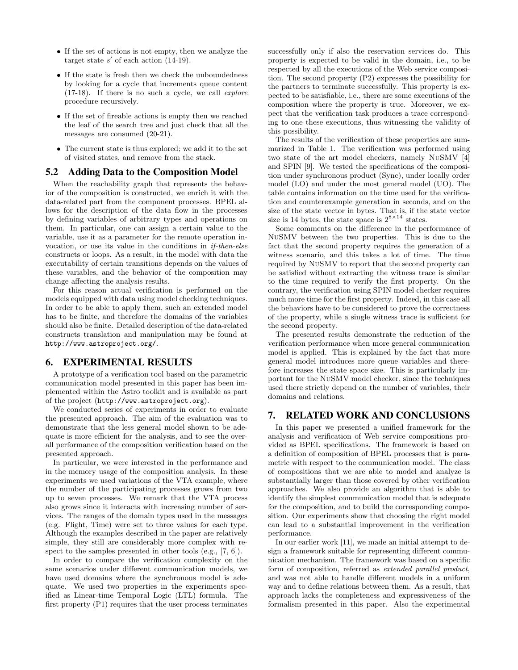- If the set of actions is not empty, then we analyze the target state  $s'$  of each action (14-19).
- If the state is fresh then we check the unboundedness by looking for a cycle that increments queue content  $(17-18)$ . If there is no such a cycle, we call *explore* procedure recursively.
- If the set of fireable actions is empty then we reached the leaf of the search tree and just check that all the messages are consumed (20-21).
- The current state is thus explored; we add it to the set of visited states, and remove from the stack.

## **5.2 Adding Data to the Composition Model**

When the reachability graph that represents the behavior of the composition is constructed, we enrich it with the data-related part from the component processes. BPEL allows for the description of the data flow in the processes by defining variables of arbitrary types and operations on them. In particular, one can assign a certain value to the variable, use it as a parameter for the remote operation invocation, or use its value in the conditions in if-then-else constructs or loops. As a result, in the model with data the executability of certain transitions depends on the values of these variables, and the behavior of the composition may change affecting the analysis results.

For this reason actual verification is performed on the models equipped with data using model checking techniques. In order to be able to apply them, such an extended model has to be finite, and therefore the domains of the variables should also be finite. Detailed description of the data-related constructs translation and manipulation may be found at http://www.astroproject.org/.

# **6. EXPERIMENTAL RESULTS**

A prototype of a verification tool based on the parametric communication model presented in this paper has been implemented within the Astro toolkit and is available as part of the project (http://www.astroproject.org).

We conducted series of experiments in order to evaluate the presented approach. The aim of the evaluation was to demonstrate that the less general model shown to be adequate is more efficient for the analysis, and to see the overall performance of the composition verification based on the presented approach.

In particular, we were interested in the performance and in the memory usage of the composition analysis. In these experiments we used variations of the VTA example, where the number of the participating processes grows from two up to seven processes. We remark that the VTA process also grows since it interacts with increasing number of services. The ranges of the domain types used in the messages (e.g. Flight, Time) were set to three values for each type. Although the examples described in the paper are relatively simple, they still are considerably more complex with respect to the samples presented in other tools (e.g., [7, 6]).

In order to compare the verification complexity on the same scenarios under different communication models, we have used domains where the synchronous model is adequate. We used two properties in the experiments specified as Linear-time Temporal Logic (LTL) formula. The first property (P1) requires that the user process terminates successfully only if also the reservation services do. This property is expected to be valid in the domain, i.e., to be respected by all the executions of the Web service composition. The second property (P2) expresses the possibility for the partners to terminate successfully. This property is expected to be satisfiable, i.e., there are some executions of the composition where the property is true. Moreover, we expect that the verification task produces a trace corresponding to one these executions, thus witnessing the validity of this possibility.

The results of the verification of these properties are summarized in Table 1. The verification was performed using two state of the art model checkers, namely NuSMV [4] and SPIN [9]. We tested the specifications of the composition under synchronous product (Sync), under locally order model (LO) and under the most general model (UO). The table contains information on the time used for the verification and counterexample generation in seconds, and on the size of the state vector in bytes. That is, if the state vector size is 14 bytes, the state space is  $2^{8 \times 14}$  states.

Some comments on the difference in the performance of NuSMV between the two properties. This is due to the fact that the second property requires the generation of a witness scenario, and this takes a lot of time. The time required by NuSMV to report that the second property can be satisfied without extracting the witness trace is similar to the time required to verify the first property. On the contrary, the verification using SPIN model checker requires much more time for the first property. Indeed, in this case all the behaviors have to be considered to prove the correctness of the property, while a single witness trace is sufficient for the second property.

The presented results demonstrate the reduction of the verification performance when more general communication model is applied. This is explained by the fact that more general model introduces more queue variables and therefore increases the state space size. This is particularly important for the NuSMV model checker, since the techniques used there strictly depend on the number of variables, their domains and relations.

## **7. RELATED WORK AND CONCLUSIONS**

In this paper we presented a unified framework for the analysis and verification of Web service compositions provided as BPEL specifications. The framework is based on a definition of composition of BPEL processes that is parametric with respect to the communication model. The class of compositions that we are able to model and analyze is substantially larger than those covered by other verification approaches. We also provide an algorithm that is able to identify the simplest communication model that is adequate for the composition, and to build the corresponding composition. Our experiments show that choosing the right model can lead to a substantial improvement in the verification performance.

In our earlier work [11], we made an initial attempt to design a framework suitable for representing different communication mechanism. The framework was based on a specific form of composition, referred as extended parallel product, and was not able to handle different models in a uniform way and to define relations between them. As a result, that approach lacks the completeness and expressiveness of the formalism presented in this paper. Also the experimental